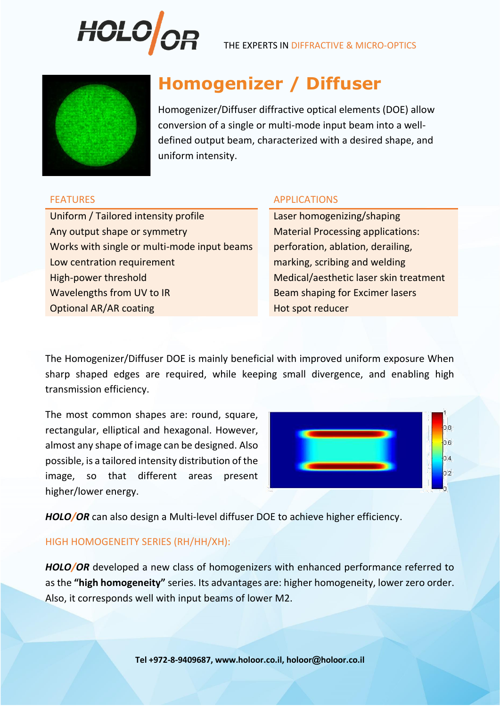

THE EXPERTS IN DIFFRACTIVE & MICRO-OPTICS



# **Homogenizer / Diffuser**

Homogenizer/Diffuser diffractive optical elements (DOE) allow conversion of a single or multi-mode input beam into a welldefined output beam, characterized with a desired shape, and uniform intensity.

Uniform / Tailored intensity profile Laser homogenizing/shaping Any output shape or symmetry Material Processing applications: Works with single or multi-mode input beams perforation, ablation, derailing, Low centration requirement marking, scribing and welding High-power threshold Medical/aesthetic laser skin treatment Wavelengths from UV to IR Beam shaping for Excimer lasers Optional AR/AR coating **Hot spot reducer Hot spot reducer** 

# FEATURES APPLICATIONS

The Homogenizer/Diffuser DOE is mainly beneficial with improved uniform exposure When sharp shaped edges are required, while keeping small divergence, and enabling high transmission efficiency.

The most common shapes are: round, square, rectangular, elliptical and hexagonal. However, almost any shape of image can be designed. Also possible, is a tailored intensity distribution of the image, so that different areas present higher/lower energy.



*HOLO/OR* can also design a Multi-level diffuser DOE to achieve higher efficiency.

# HIGH HOMOGENEITY SERIES (RH/HH/XH):

*HOLO/OR* developed a new class of homogenizers with enhanced performance referred to as the **"high homogeneity"** series. Its advantages are: higher homogeneity, lower zero order. Also, it corresponds well with input beams of lower M2.